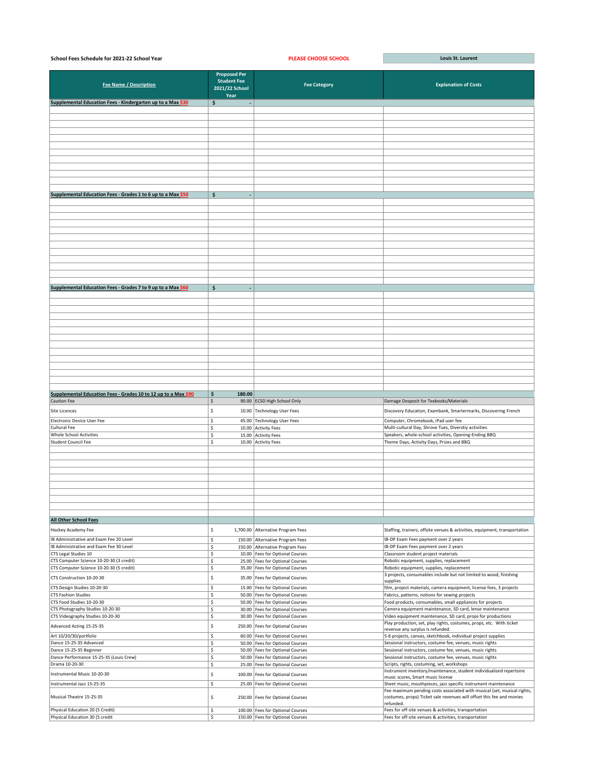| School Fees Schedule for 2021-22 School Year                   |                                                              | <b>PLEASE CHOOSE SCHOOL</b> | Louis St. Laurent                                               |
|----------------------------------------------------------------|--------------------------------------------------------------|-----------------------------|-----------------------------------------------------------------|
| <b>Fee Name / Description</b>                                  | Proposed Per<br><b>Student Fee</b><br>2021/22 School<br>Year | <b>Fee Category</b>         | <b>Explanation of Costs</b>                                     |
| Supplemental Education Fees - Kindergarten up to a Max \$30    | \$                                                           |                             |                                                                 |
|                                                                |                                                              |                             |                                                                 |
|                                                                |                                                              |                             |                                                                 |
|                                                                |                                                              |                             |                                                                 |
|                                                                |                                                              |                             |                                                                 |
|                                                                |                                                              |                             |                                                                 |
|                                                                |                                                              |                             |                                                                 |
|                                                                |                                                              |                             |                                                                 |
|                                                                |                                                              |                             |                                                                 |
|                                                                |                                                              |                             |                                                                 |
|                                                                |                                                              |                             |                                                                 |
|                                                                |                                                              |                             |                                                                 |
|                                                                |                                                              |                             |                                                                 |
| Supplemental Education Fees - Grades 1 to 6 up to a Max \$50   | \$                                                           |                             |                                                                 |
|                                                                |                                                              |                             |                                                                 |
|                                                                |                                                              |                             |                                                                 |
|                                                                |                                                              |                             |                                                                 |
|                                                                |                                                              |                             |                                                                 |
|                                                                |                                                              |                             |                                                                 |
|                                                                |                                                              |                             |                                                                 |
|                                                                |                                                              |                             |                                                                 |
|                                                                |                                                              |                             |                                                                 |
|                                                                |                                                              |                             |                                                                 |
|                                                                |                                                              |                             |                                                                 |
|                                                                |                                                              |                             |                                                                 |
|                                                                |                                                              |                             |                                                                 |
| Supplemental Education Fees - Grades 7 to 9 up to a Max \$60   | \$                                                           |                             |                                                                 |
|                                                                |                                                              |                             |                                                                 |
|                                                                |                                                              |                             |                                                                 |
|                                                                |                                                              |                             |                                                                 |
|                                                                |                                                              |                             |                                                                 |
|                                                                |                                                              |                             |                                                                 |
|                                                                |                                                              |                             |                                                                 |
|                                                                |                                                              |                             |                                                                 |
|                                                                |                                                              |                             |                                                                 |
|                                                                |                                                              |                             |                                                                 |
|                                                                |                                                              |                             |                                                                 |
|                                                                |                                                              |                             |                                                                 |
|                                                                |                                                              |                             |                                                                 |
|                                                                |                                                              |                             |                                                                 |
|                                                                |                                                              |                             |                                                                 |
| Supplemental Education Fees - Grades 10 to 12 up to a Max \$90 | \$<br>180.00                                                 |                             |                                                                 |
| Caution Fee                                                    | \$                                                           | 90.00 ECSD High School Only | Damage Desposit for Texbooks/Materials                          |
| Site Licences                                                  | \$                                                           | 10.00 Technology User Fees  | Discovery Education, Exambank, Smartermarks, Discovering French |
| Electronic Device User Fee                                     | \$                                                           | 45.00 Technology User Fees  | Computer, Chromebook, iPad user fee                             |
| Cultural Fee                                                   | \$                                                           | 10.00 Activity Fees         | Multi-cultural Day, Shrove Tues, Diverstiy activities           |
| Whole School Activities                                        | \$                                                           | 15.00 Activity Fees         | Speakers, whole-school activities, Opening-Ending BBQ           |
| Student Council Fee                                            | ć                                                            | 10.00 Activity Fees         | Theme Days, Activity Days, Prizes and BBO                       |

| otaacht coanth rec                       |         |  | $10.00$   Activity i CCS           | THEFT Days, Activity Days, THECS and DDQ                                                                 |
|------------------------------------------|---------|--|------------------------------------|----------------------------------------------------------------------------------------------------------|
|                                          |         |  |                                    |                                                                                                          |
|                                          |         |  |                                    |                                                                                                          |
|                                          |         |  |                                    |                                                                                                          |
|                                          |         |  |                                    |                                                                                                          |
|                                          |         |  |                                    |                                                                                                          |
|                                          |         |  |                                    |                                                                                                          |
|                                          |         |  |                                    |                                                                                                          |
|                                          |         |  |                                    |                                                                                                          |
|                                          |         |  |                                    |                                                                                                          |
|                                          |         |  |                                    |                                                                                                          |
| <b>All Other School Fees</b>             |         |  |                                    |                                                                                                          |
| Hockey Academy Fee                       | -S      |  | 1,700.00 Alternative Program Fees  | Staffing, trainers, offsite venues & activities, equipment, transportation                               |
| IB Administrative and Exam Fee 20 Level  |         |  | 150.00 Alternative Program Fees    | IB-DP Exam Fees payment over 2 years                                                                     |
| IB Administrative and Exam Fee 30 Level  |         |  | 150.00 Alternative Program Fees    | IB-DP Exam Fees payment over 2 years                                                                     |
| CTS Legal Studies 10                     |         |  | 10.00   Fees for Optional Courses  | Classroom student project materials                                                                      |
| CTS Computer Science 10-20-30 (3 credit) |         |  | 25.00   Fees for Optional Courses  | Robotic equipment, supplies, replacement                                                                 |
| CTS Computer Science 10-20-30 (5 credit) |         |  | 35.00   Fees for Optional Courses  | Robotic equipment, supplies, replacement                                                                 |
| CTS Construction 10-20-30                |         |  | 35.00   Fees for Optional Courses  | 3 projects, consumables include but not limited to wood, finishing                                       |
|                                          |         |  |                                    | supplies                                                                                                 |
| CTS Design Studies 10-20-30              |         |  | 15.00   Fees for Optional Courses  | film, project materials, camera equipment, license fees, 3 projects                                      |
| <b>CTS Fashion Studies</b>               |         |  | 50.00   Fees for Optional Courses  | Fabrics, patterns, notions for sewing projects                                                           |
| CTS Food Studies 10-20-30                |         |  | 50.00   Fees for Optional Courses  | Food products, consumables, small appliances for projects                                                |
| CTS Photography Studies 10-20-30         |         |  | 30.00   Fees for Optional Courses  | Camera equipment maintenance, SD card, lense maintenance                                                 |
| CTS Videography Studies 10-20-30         |         |  | 30.00   Fees for Optional Courses  | Video equipment maintenance, SD card, props for productions                                              |
| Advanced Acting 15-25-35                 |         |  | 250.00   Fees for Optional Courses | Play production, set, play rights, costumes, props, etc. With ticket<br>revenue any surplus is refunded. |
| Art 10/20/30/portfolio                   |         |  | 60.00   Fees for Optional Courses  | 5-6 projects, canvas, sketchbook, individual project supplies                                            |
| Dance 15-25-35 Advanced                  |         |  | 50.00   Fees for Optional Courses  | Sessional instructors, costume fee, venues, music rights                                                 |
| Dance 15-25-35 Beginner                  |         |  | 50.00   Fees for Optional Courses  | Sessional instructors, costume fee, venues, music rights                                                 |
| Dance Performance 15-25-35 (Louis Crew)  |         |  | 50.00   Fees for Optional Courses  | Sessional instructors, costume fee, venues, music rights                                                 |
| Drama 10-20-30                           | \$      |  | 25.00   Fees for Optional Courses  | Scripts, rights, costuming, set, workshops                                                               |
| Instrumental Music 10-20-30              |         |  | 100.00   Fees for Optional Courses | Instrument inventory/maintenance, student individualized repertoire                                      |
|                                          |         |  |                                    | music scores, Smart music license                                                                        |
| Instrumental Jazz 15-25-35               | \$      |  | 25.00   Fees for Optional Courses  | Sheet music, mouthpieces, jazz specific instrument maintenance                                           |
|                                          |         |  |                                    | Fee maximum pending costs associated with musical (set, musical rights,                                  |
| Musical Theatre 15-25-35                 | S       |  | 250.00   Fees for Optional Courses | costumes, props) Ticket sale revenues will offset this fee and monies                                    |
|                                          |         |  |                                    | refunded.                                                                                                |
| Physical Education 20 (5 Credit)         |         |  | 100.00   Fees for Optional Courses | Fees for off-site venues & activities, transportation                                                    |
| Physical Education 30 (5 credit          | $\zeta$ |  | 150.00   Fees for Optional Courses | Fees for off-site venues & activities, transportation                                                    |